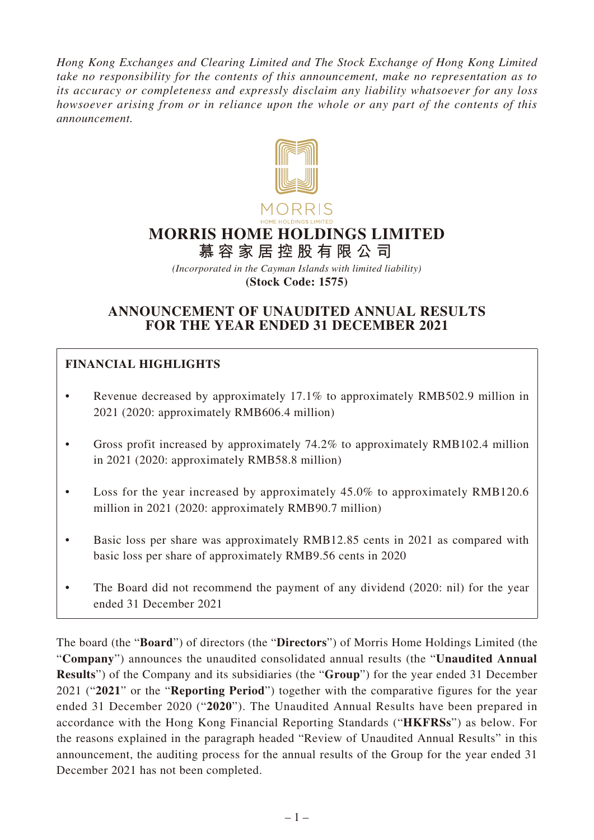*Hong Kong Exchanges and Clearing Limited and The Stock Exchange of Hong Kong Limited take no responsibility for the contents of this announcement, make no representation as to its accuracy or completeness and expressly disclaim any liability whatsoever for any loss howsoever arising from or in reliance upon the whole or any part of the contents of this announcement.*



# **MORRIS HOME HOLDINGS LIMITED**

**慕容家居控股有限公司**

*(Incorporated in the Cayman Islands with limited liability)* **(Stock Code: 1575)**

# **ANNOUNCEMENT OF UNAUDITED ANNUAL RESULTS FOR THE YEAR ENDED 31 DECEMBER 2021**

# **FINANCIAL HIGHLIGHTS**

- Revenue decreased by approximately 17.1% to approximately RMB502.9 million in 2021 (2020: approximately RMB606.4 million)
- Gross profit increased by approximately 74.2% to approximately RMB102.4 million in 2021 (2020: approximately RMB58.8 million)
- Loss for the year increased by approximately 45.0% to approximately RMB120.6 million in 2021 (2020: approximately RMB90.7 million)
- Basic loss per share was approximately RMB12.85 cents in 2021 as compared with basic loss per share of approximately RMB9.56 cents in 2020
- The Board did not recommend the payment of any dividend (2020: nil) for the year ended 31 December 2021

The board (the "**Board**") of directors (the "**Directors**") of Morris Home Holdings Limited (the "**Company**") announces the unaudited consolidated annual results (the "**Unaudited Annual Results**") of the Company and its subsidiaries (the "**Group**") for the year ended 31 December 2021 ("**2021**" or the "**Reporting Period**") together with the comparative figures for the year ended 31 December 2020 ("**2020**"). The Unaudited Annual Results have been prepared in accordance with the Hong Kong Financial Reporting Standards ("**HKFRSs**") as below. For the reasons explained in the paragraph headed "Review of Unaudited Annual Results" in this announcement, the auditing process for the annual results of the Group for the year ended 31 December 2021 has not been completed.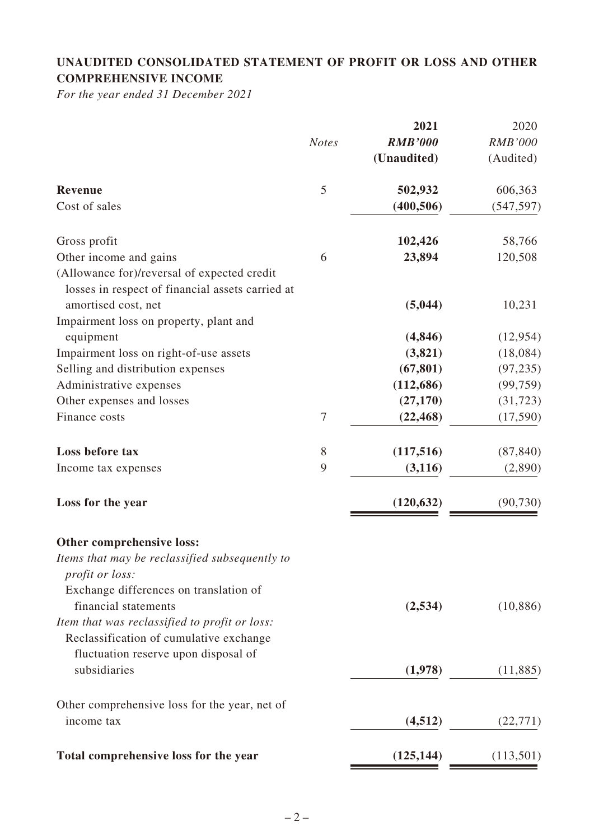# **UNAUDITED CONSOLIDATED STATEMENT OF PROFIT OR LOSS AND OTHER COMPREHENSIVE INCOME**

*For the year ended 31 December 2021*

|                                                                                                                                  |                  | 2021           | 2020           |
|----------------------------------------------------------------------------------------------------------------------------------|------------------|----------------|----------------|
|                                                                                                                                  | <b>Notes</b>     | <b>RMB'000</b> | <b>RMB'000</b> |
|                                                                                                                                  |                  | (Unaudited)    | (Audited)      |
| <b>Revenue</b>                                                                                                                   | 5                | 502,932        | 606,363        |
| Cost of sales                                                                                                                    |                  | (400, 506)     | (547, 597)     |
| Gross profit                                                                                                                     |                  | 102,426        | 58,766         |
| Other income and gains                                                                                                           | 6                | 23,894         | 120,508        |
| (Allowance for)/reversal of expected credit<br>losses in respect of financial assets carried at                                  |                  |                |                |
| amortised cost, net                                                                                                              |                  | (5,044)        | 10,231         |
| Impairment loss on property, plant and                                                                                           |                  |                |                |
| equipment                                                                                                                        |                  | (4, 846)       | (12, 954)      |
| Impairment loss on right-of-use assets                                                                                           |                  | (3,821)        | (18,084)       |
| Selling and distribution expenses                                                                                                |                  | (67, 801)      | (97, 235)      |
| Administrative expenses                                                                                                          |                  | (112, 686)     | (99, 759)      |
| Other expenses and losses                                                                                                        |                  | (27, 170)      | (31, 723)      |
| Finance costs                                                                                                                    | $\boldsymbol{7}$ | (22, 468)      | (17,590)       |
| Loss before tax                                                                                                                  | 8                | (117,516)      | (87, 840)      |
| Income tax expenses                                                                                                              | 9                | (3, 116)       | (2,890)        |
| Loss for the year                                                                                                                |                  | (120, 632)     | (90, 730)      |
| Other comprehensive loss:                                                                                                        |                  |                |                |
| Items that may be reclassified subsequently to<br>profit or loss:                                                                |                  |                |                |
| Exchange differences on translation of<br>financial statements                                                                   |                  | (2,534)        | (10, 886)      |
| Item that was reclassified to profit or loss:<br>Reclassification of cumulative exchange<br>fluctuation reserve upon disposal of |                  |                |                |
| subsidiaries                                                                                                                     |                  | (1,978)        | (11,885)       |
| Other comprehensive loss for the year, net of                                                                                    |                  |                |                |
| income tax                                                                                                                       |                  | (4,512)        | (22, 771)      |
| Total comprehensive loss for the year                                                                                            |                  | (125, 144)     | (113,501)      |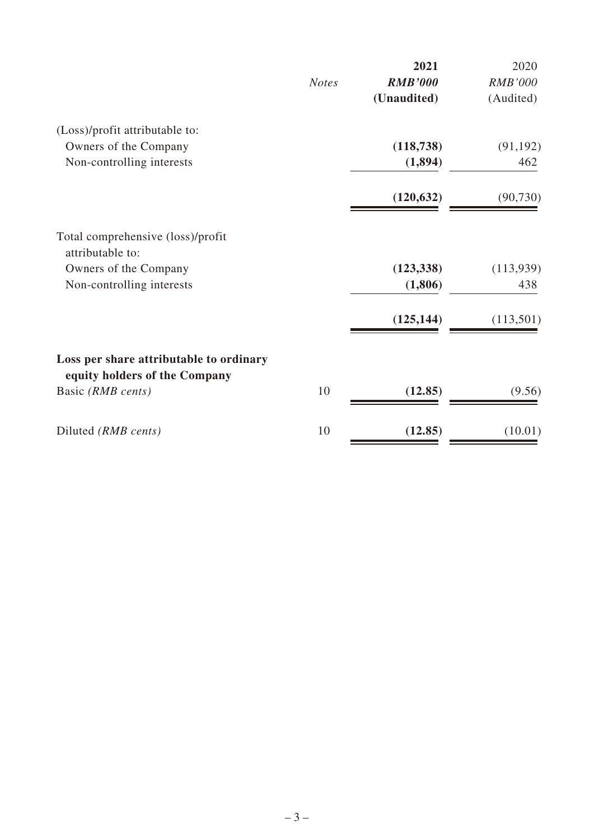|              | 2021           | 2020           |
|--------------|----------------|----------------|
| <b>Notes</b> | <b>RMB'000</b> | <b>RMB'000</b> |
|              | (Unaudited)    | (Audited)      |
|              |                |                |
|              | (118, 738)     | (91, 192)      |
|              | (1,894)        | 462            |
|              | (120, 632)     | (90, 730)      |
|              |                |                |
|              | (123, 338)     | (113,939)      |
|              | (1,806)        | 438            |
|              | (125, 144)     | (113, 501)     |
|              |                |                |
|              |                |                |
|              |                | (9.56)         |
| 10           | (12.85)        | (10.01)        |
|              | 10             | (12.85)        |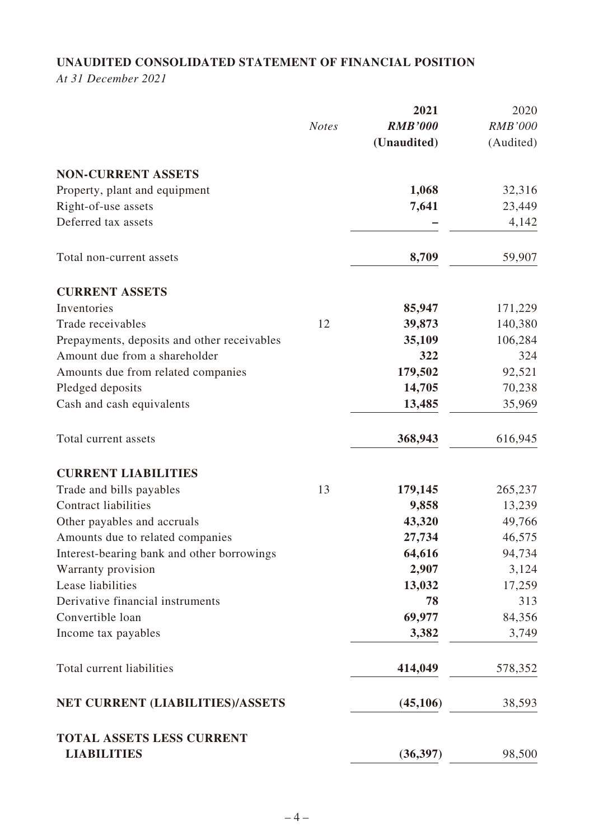# **UNAUDITED CONSOLIDATED STATEMENT OF FINANCIAL POSITION**

*At 31 December 2021*

|                                                        |              | 2021           | 2020           |
|--------------------------------------------------------|--------------|----------------|----------------|
|                                                        | <b>Notes</b> | <b>RMB'000</b> | <b>RMB'000</b> |
|                                                        |              | (Unaudited)    | (Audited)      |
| <b>NON-CURRENT ASSETS</b>                              |              |                |                |
| Property, plant and equipment                          |              | 1,068          | 32,316         |
| Right-of-use assets                                    |              | 7,641          | 23,449         |
| Deferred tax assets                                    |              |                | 4,142          |
| Total non-current assets                               |              | 8,709          | 59,907         |
| <b>CURRENT ASSETS</b>                                  |              |                |                |
| Inventories                                            |              | 85,947         | 171,229        |
| Trade receivables                                      | 12           | 39,873         | 140,380        |
| Prepayments, deposits and other receivables            |              | 35,109         | 106,284        |
| Amount due from a shareholder                          |              | 322            | 324            |
| Amounts due from related companies                     |              | 179,502        | 92,521         |
| Pledged deposits                                       |              | 14,705         | 70,238         |
| Cash and cash equivalents                              |              | 13,485         | 35,969         |
| Total current assets                                   |              | 368,943        | 616,945        |
| <b>CURRENT LIABILITIES</b>                             |              |                |                |
| Trade and bills payables                               | 13           | 179,145        | 265,237        |
| <b>Contract liabilities</b>                            |              | 9,858          | 13,239         |
| Other payables and accruals                            |              | 43,320         | 49,766         |
| Amounts due to related companies                       |              | 27,734         | 46,575         |
| Interest-bearing bank and other borrowings             |              | 64,616         | 94,734         |
| Warranty provision                                     |              | 2,907          | 3,124          |
| Lease liabilities                                      |              | 13,032         | 17,259         |
| Derivative financial instruments                       |              | 78             | 313            |
| Convertible loan                                       |              | 69,977         | 84,356         |
| Income tax payables                                    |              | 3,382          | 3,749          |
| Total current liabilities                              |              | 414,049        | 578,352        |
| NET CURRENT (LIABILITIES)/ASSETS                       |              | (45, 106)      | 38,593         |
| <b>TOTAL ASSETS LESS CURRENT</b><br><b>LIABILITIES</b> |              | (36, 397)      | 98,500         |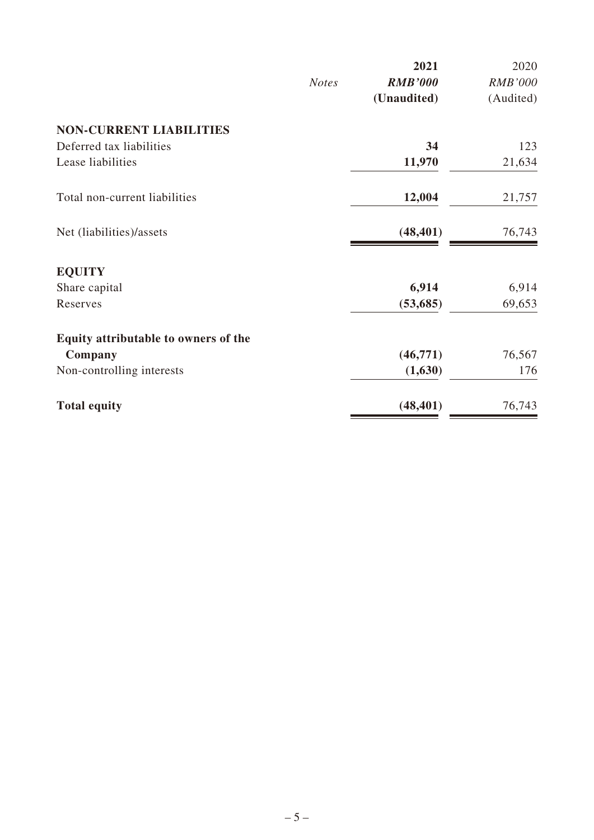|              | 2021           | 2020           |
|--------------|----------------|----------------|
| <b>Notes</b> | <b>RMB'000</b> | <b>RMB'000</b> |
|              | (Unaudited)    | (Audited)      |
|              |                |                |
|              | 34             | 123            |
|              | 11,970         | 21,634         |
|              | 12,004         | 21,757         |
|              | (48, 401)      | 76,743         |
|              |                |                |
|              | 6,914          | 6,914          |
|              | (53, 685)      | 69,653         |
|              |                |                |
|              | (46,771)       | 76,567         |
|              | (1,630)        | 176            |
|              | (48, 401)      | 76,743         |
|              |                |                |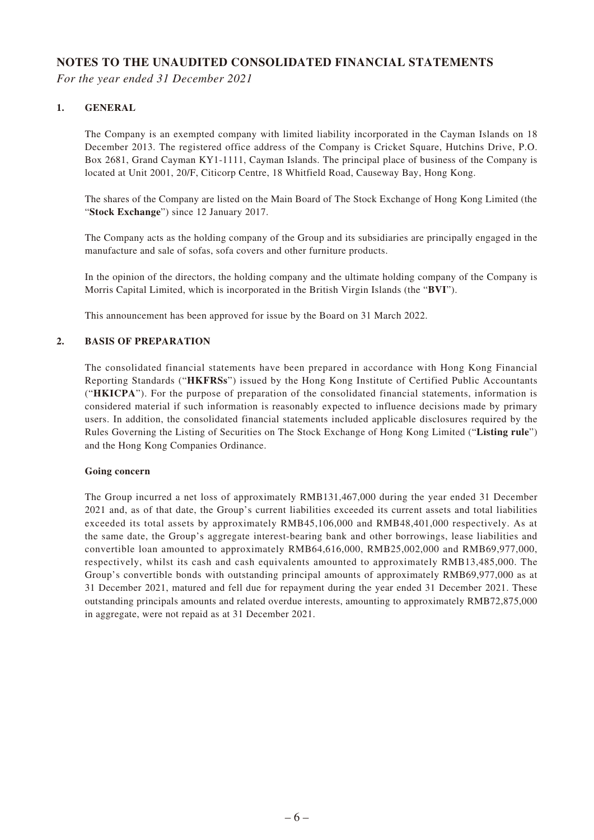#### **NOTES TO THE UNAUDITED CONSOLIDATED FINANCIAL STATEMENTS**

*For the year ended 31 December 2021*

#### **1. GENERAL**

The Company is an exempted company with limited liability incorporated in the Cayman Islands on 18 December 2013. The registered office address of the Company is Cricket Square, Hutchins Drive, P.O. Box 2681, Grand Cayman KY1-1111, Cayman Islands. The principal place of business of the Company is located at Unit 2001, 20/F, Citicorp Centre, 18 Whitfield Road, Causeway Bay, Hong Kong.

The shares of the Company are listed on the Main Board of The Stock Exchange of Hong Kong Limited (the "**Stock Exchange**") since 12 January 2017.

The Company acts as the holding company of the Group and its subsidiaries are principally engaged in the manufacture and sale of sofas, sofa covers and other furniture products.

In the opinion of the directors, the holding company and the ultimate holding company of the Company is Morris Capital Limited, which is incorporated in the British Virgin Islands (the "**BVI**").

This announcement has been approved for issue by the Board on 31 March 2022.

#### **2. BASIS OF PREPARATION**

The consolidated financial statements have been prepared in accordance with Hong Kong Financial Reporting Standards ("**HKFRSs**") issued by the Hong Kong Institute of Certified Public Accountants ("**HKICPA**"). For the purpose of preparation of the consolidated financial statements, information is considered material if such information is reasonably expected to influence decisions made by primary users. In addition, the consolidated financial statements included applicable disclosures required by the Rules Governing the Listing of Securities on The Stock Exchange of Hong Kong Limited ("**Listing rule**") and the Hong Kong Companies Ordinance.

#### **Going concern**

The Group incurred a net loss of approximately RMB131,467,000 during the year ended 31 December 2021 and, as of that date, the Group's current liabilities exceeded its current assets and total liabilities exceeded its total assets by approximately RMB45,106,000 and RMB48,401,000 respectively. As at the same date, the Group's aggregate interest-bearing bank and other borrowings, lease liabilities and convertible loan amounted to approximately RMB64,616,000, RMB25,002,000 and RMB69,977,000, respectively, whilst its cash and cash equivalents amounted to approximately RMB13,485,000. The Group's convertible bonds with outstanding principal amounts of approximately RMB69,977,000 as at 31 December 2021, matured and fell due for repayment during the year ended 31 December 2021. These outstanding principals amounts and related overdue interests, amounting to approximately RMB72,875,000 in aggregate, were not repaid as at 31 December 2021.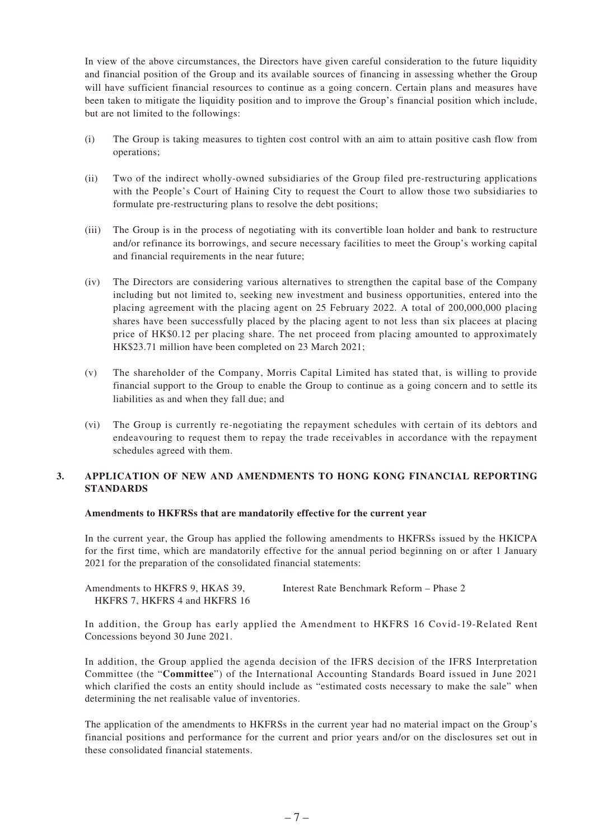In view of the above circumstances, the Directors have given careful consideration to the future liquidity and financial position of the Group and its available sources of financing in assessing whether the Group will have sufficient financial resources to continue as a going concern. Certain plans and measures have been taken to mitigate the liquidity position and to improve the Group's financial position which include, but are not limited to the followings:

- (i) The Group is taking measures to tighten cost control with an aim to attain positive cash flow from operations;
- (ii) Two of the indirect wholly-owned subsidiaries of the Group filed pre-restructuring applications with the People's Court of Haining City to request the Court to allow those two subsidiaries to formulate pre-restructuring plans to resolve the debt positions;
- (iii) The Group is in the process of negotiating with its convertible loan holder and bank to restructure and/or refinance its borrowings, and secure necessary facilities to meet the Group's working capital and financial requirements in the near future;
- (iv) The Directors are considering various alternatives to strengthen the capital base of the Company including but not limited to, seeking new investment and business opportunities, entered into the placing agreement with the placing agent on 25 February 2022. A total of 200,000,000 placing shares have been successfully placed by the placing agent to not less than six placees at placing price of HK\$0.12 per placing share. The net proceed from placing amounted to approximately HK\$23.71 million have been completed on 23 March 2021;
- (v) The shareholder of the Company, Morris Capital Limited has stated that, is willing to provide financial support to the Group to enable the Group to continue as a going concern and to settle its liabilities as and when they fall due; and
- (vi) The Group is currently re-negotiating the repayment schedules with certain of its debtors and endeavouring to request them to repay the trade receivables in accordance with the repayment schedules agreed with them.

#### **3. APPLICATION OF NEW AND AMENDMENTS TO HONG KONG FINANCIAL REPORTING STANDARDS**

#### **Amendments to HKFRSs that are mandatorily effective for the current year**

In the current year, the Group has applied the following amendments to HKFRSs issued by the HKICPA for the first time, which are mandatorily effective for the annual period beginning on or after 1 January 2021 for the preparation of the consolidated financial statements:

| Amendments to HKFRS 9, HKAS 39, | Interest Rate Benchmark Reform – Phase 2 |
|---------------------------------|------------------------------------------|
| HKFRS 7, HKFRS 4 and HKFRS 16   |                                          |

In addition, the Group has early applied the Amendment to HKFRS 16 Covid-19-Related Rent Concessions beyond 30 June 2021.

In addition, the Group applied the agenda decision of the IFRS decision of the IFRS Interpretation Committee (the "**Committee**") of the International Accounting Standards Board issued in June 2021 which clarified the costs an entity should include as "estimated costs necessary to make the sale" when determining the net realisable value of inventories.

The application of the amendments to HKFRSs in the current year had no material impact on the Group's financial positions and performance for the current and prior years and/or on the disclosures set out in these consolidated financial statements.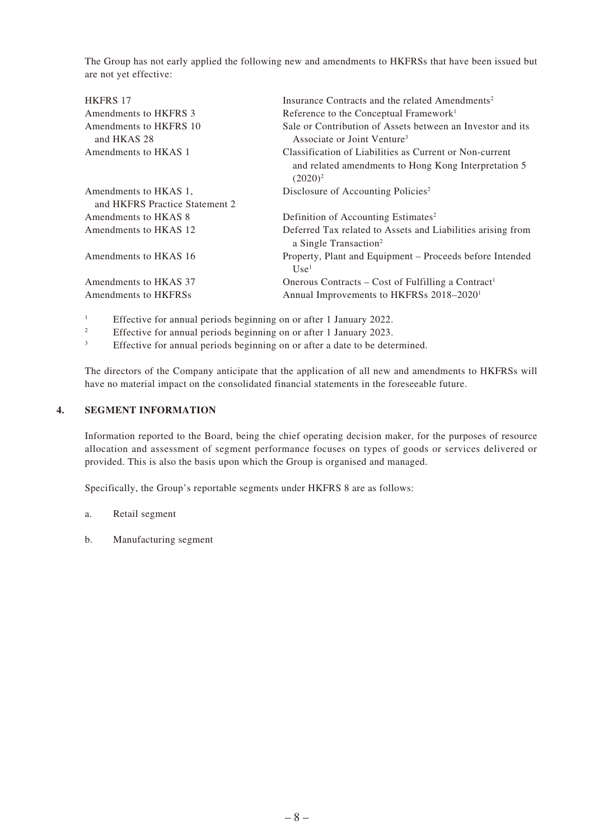The Group has not early applied the following new and amendments to HKFRSs that have been issued but are not yet effective:

| Insurance Contracts and the related Amendments <sup>2</sup>                                                                   |
|-------------------------------------------------------------------------------------------------------------------------------|
| Reference to the Conceptual Framework <sup>1</sup>                                                                            |
| Sale or Contribution of Assets between an Investor and its<br>Associate or Joint Venture <sup>3</sup>                         |
| Classification of Liabilities as Current or Non-current<br>and related amendments to Hong Kong Interpretation 5<br>$(2020)^2$ |
| Disclosure of Accounting Policies <sup>2</sup>                                                                                |
|                                                                                                                               |
| Definition of Accounting Estimates <sup>2</sup>                                                                               |
| Deferred Tax related to Assets and Liabilities arising from<br>a Single Transaction <sup>2</sup>                              |
| Property, Plant and Equipment – Proceeds before Intended<br>Use <sup>1</sup>                                                  |
| Onerous Contracts – Cost of Fulfilling a Contract <sup>1</sup>                                                                |
| Annual Improvements to HKFRSs 2018-2020 <sup>1</sup>                                                                          |
|                                                                                                                               |

<sup>1</sup> Effective for annual periods beginning on or after 1 January 2022.

<sup>2</sup> Effective for annual periods beginning on or after 1 January 2023.

Effective for annual periods beginning on or after a date to be determined.

The directors of the Company anticipate that the application of all new and amendments to HKFRSs will have no material impact on the consolidated financial statements in the foreseeable future.

#### **4. SEGMENT INFORMATION**

Information reported to the Board, being the chief operating decision maker, for the purposes of resource allocation and assessment of segment performance focuses on types of goods or services delivered or provided. This is also the basis upon which the Group is organised and managed.

Specifically, the Group's reportable segments under HKFRS 8 are as follows:

- a. Retail segment
- b. Manufacturing segment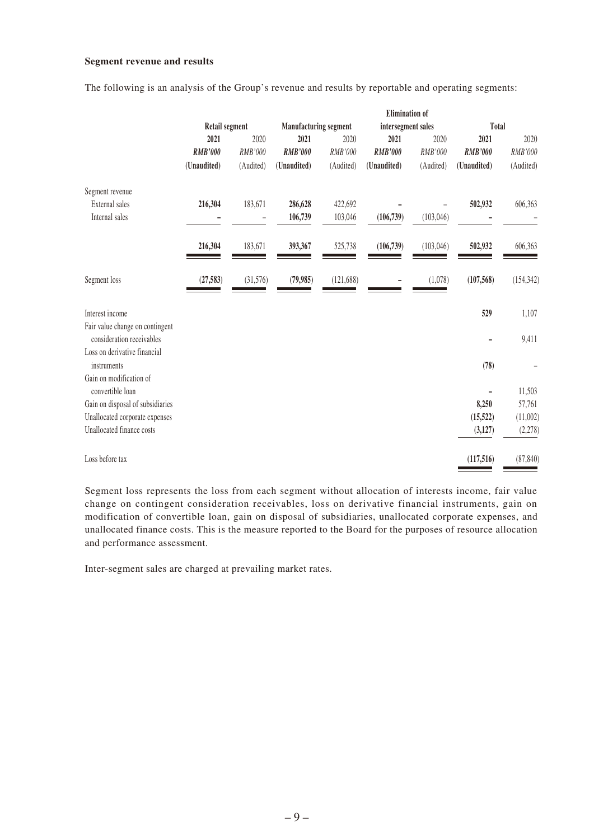#### **Segment revenue and results**

The following is an analysis of the Group's revenue and results by reportable and operating segments:

|                                                              |                       |                          |                              |            | <b>Elimination</b> of |            |                |            |
|--------------------------------------------------------------|-----------------------|--------------------------|------------------------------|------------|-----------------------|------------|----------------|------------|
|                                                              | <b>Retail segment</b> |                          | <b>Manufacturing segment</b> |            | intersegment sales    |            | Total          |            |
|                                                              | 2021                  | 2020                     | 2021                         | 2020       | 2021                  | 2020       | 2021           | 2020       |
|                                                              | <b>RMB'000</b>        | RMB'000                  | <b>RMB'000</b>               | RMB'000    | <b>RMB'000</b>        | RMB'000    | <b>RMB'000</b> | RMB'000    |
|                                                              | (Unaudited)           | (Audited)                | (Unaudited)                  | (Audited)  | (Unaudited)           | (Audited)  | (Unaudited)    | (Audited)  |
| Segment revenue                                              |                       |                          |                              |            |                       |            |                |            |
| External sales                                               | 216,304               | 183,671                  | 286,628                      | 422,692    |                       |            | 502,932        | 606,363    |
| Internal sales                                               |                       | $\overline{\phantom{0}}$ | 106,739                      | 103,046    | (106, 739)            | (103, 046) |                |            |
|                                                              | 216,304               | 183,671                  | 393,367                      | 525,738    | (106, 739)            | (103,046)  | 502,932        | 606,363    |
| Segment loss                                                 | (27, 583)             | (31,576)                 | (79, 985)                    | (121, 688) |                       | (1,078)    | (107, 568)     | (154, 342) |
| Interest income                                              |                       |                          |                              |            |                       |            | 529            | 1,107      |
| Fair value change on contingent<br>consideration receivables |                       |                          |                              |            |                       |            |                | 9,411      |
| Loss on derivative financial<br>instruments                  |                       |                          |                              |            |                       |            | (78)           |            |
| Gain on modification of<br>convertible loan                  |                       |                          |                              |            |                       |            |                | 11,503     |
| Gain on disposal of subsidiaries                             |                       |                          |                              |            |                       |            | 8,250          | 57,761     |
| Unallocated corporate expenses                               |                       |                          |                              |            |                       |            | (15, 522)      | (11,002)   |
| Unallocated finance costs                                    |                       |                          |                              |            |                       |            | (3, 127)       | (2,278)    |
| Loss before tax                                              |                       |                          |                              |            |                       |            | (117,516)      | (87, 840)  |

Segment loss represents the loss from each segment without allocation of interests income, fair value change on contingent consideration receivables, loss on derivative financial instruments, gain on modification of convertible loan, gain on disposal of subsidiaries, unallocated corporate expenses, and unallocated finance costs. This is the measure reported to the Board for the purposes of resource allocation and performance assessment.

Inter-segment sales are charged at prevailing market rates.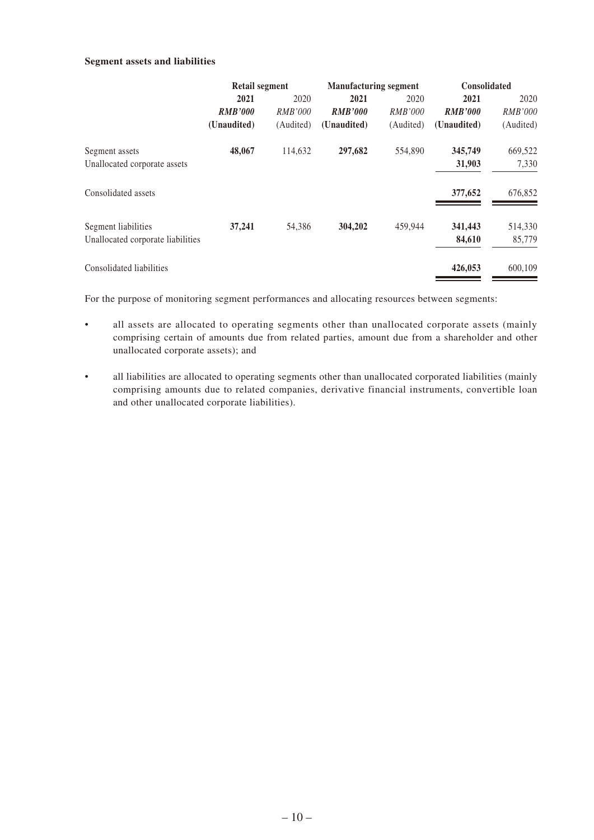#### **Segment assets and liabilities**

|                                   | <b>Retail segment</b> |                | <b>Manufacturing segment</b> |                | <b>Consolidated</b> |                |  |
|-----------------------------------|-----------------------|----------------|------------------------------|----------------|---------------------|----------------|--|
|                                   | 2021<br>2020          |                | 2021<br>2020                 |                | 2021                | 2020           |  |
|                                   | <b>RMB'000</b>        | <i>RMB'000</i> | <b>RMB'000</b>               | <b>RMB'000</b> | <b>RMB'000</b>      | <i>RMB'000</i> |  |
|                                   | (Unaudited)           | (Audited)      | (Unaudited)                  | (Audited)      | (Unaudited)         | (Audited)      |  |
| Segment assets                    | 48,067                | 114,632        | 297,682                      | 554,890        | 345,749             | 669,522        |  |
| Unallocated corporate assets      |                       |                |                              |                | 31,903              | 7,330          |  |
| Consolidated assets               |                       |                |                              |                | 377,652             | 676,852        |  |
| Segment liabilities               | 37,241                | 54,386         | 304,202                      | 459,944        | 341,443             | 514,330        |  |
| Unallocated corporate liabilities |                       |                |                              |                | 84,610              | 85,779         |  |
| Consolidated liabilities          |                       |                |                              |                | 426,053             | 600,109        |  |

For the purpose of monitoring segment performances and allocating resources between segments:

- all assets are allocated to operating segments other than unallocated corporate assets (mainly comprising certain of amounts due from related parties, amount due from a shareholder and other unallocated corporate assets); and
- all liabilities are allocated to operating segments other than unallocated corporated liabilities (mainly comprising amounts due to related companies, derivative financial instruments, convertible loan and other unallocated corporate liabilities).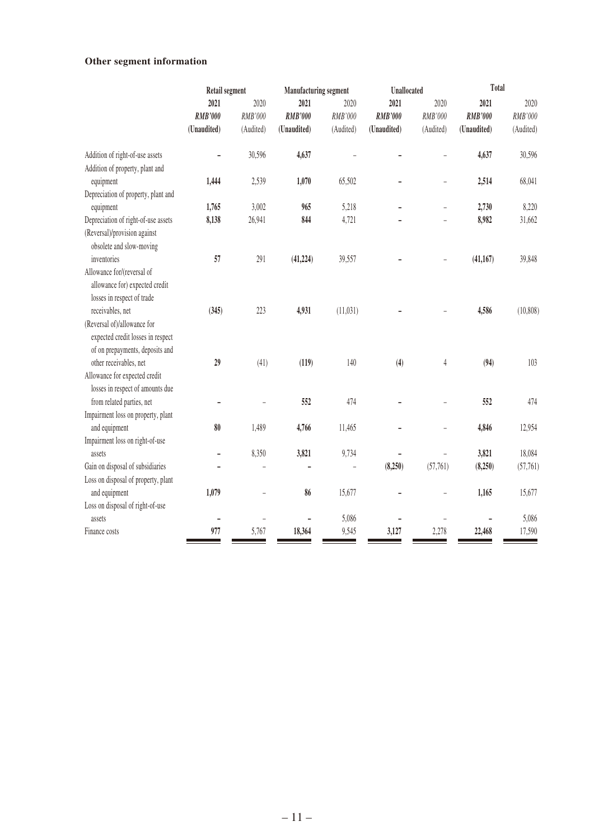## **Other segment information**

|                                     | <b>Retail segment</b><br>Manufacturing segment |           | <b>Unallocated</b> |           | Total          |                |                |           |
|-------------------------------------|------------------------------------------------|-----------|--------------------|-----------|----------------|----------------|----------------|-----------|
|                                     | 2021                                           | 2020      | 2021               | 2020      | 2021           | 2020           | 2021           | 2020      |
|                                     | <b>RMB'000</b>                                 | RMB'000   | <b>RMB'000</b>     | RMB'000   | <b>RMB'000</b> | RMB'000        | <b>RMB'000</b> | RMB'000   |
|                                     | (Unaudited)                                    | (Audited) | (Unaudited)        | (Audited) | (Unaudited)    | (Audited)      | (Unaudited)    | (Audited) |
| Addition of right-of-use assets     |                                                | 30,596    | 4,637              |           |                |                | 4,637          | 30,596    |
| Addition of property, plant and     |                                                |           |                    |           |                |                |                |           |
| equipment                           | 1,444                                          | 2,539     | 1,070              | 65,502    |                |                | 2,514          | 68,041    |
| Depreciation of property, plant and |                                                |           |                    |           |                |                |                |           |
| equipment                           | 1,765                                          | 3,002     | 965                | 5,218     |                | $\overline{a}$ | 2,730          | 8,220     |
| Depreciation of right-of-use assets | 8,138                                          | 26,941    | 844                | 4,721     |                |                | 8,982          | 31,662    |
| (Reversal)/provision against        |                                                |           |                    |           |                |                |                |           |
| obsolete and slow-moving            |                                                |           |                    |           |                |                |                |           |
| inventories                         | 57                                             | 291       | (41, 224)          | 39,557    |                |                | (41, 167)      | 39,848    |
| Allowance for/(reversal of          |                                                |           |                    |           |                |                |                |           |
| allowance for) expected credit      |                                                |           |                    |           |                |                |                |           |
| losses in respect of trade          |                                                |           |                    |           |                |                |                |           |
| receivables, net                    | (345)                                          | 223       | 4,931              | (11, 031) |                |                | 4,586          | (10, 808) |
| (Reversal of)/allowance for         |                                                |           |                    |           |                |                |                |           |
| expected credit losses in respect   |                                                |           |                    |           |                |                |                |           |
| of on prepayments, deposits and     |                                                |           |                    |           |                |                |                |           |
| other receivables, net              | 29                                             | (41)      | (119)              | 140       | (4)            | $\overline{4}$ | (94)           | 103       |
| Allowance for expected credit       |                                                |           |                    |           |                |                |                |           |
| losses in respect of amounts due    |                                                |           |                    |           |                |                |                |           |
| from related parties, net           |                                                |           | 552                | 474       |                |                | 552            | 474       |
| Impairment loss on property, plant  |                                                |           |                    |           |                |                |                |           |
| and equipment                       | 80                                             | 1,489     | 4,766              | 11,465    |                |                | 4,846          | 12,954    |
| Impairment loss on right-of-use     |                                                |           |                    |           |                |                |                |           |
| assets                              | $\qquad \qquad -$                              | 8,350     | 3,821              | 9,734     |                |                | 3,821          | 18,084    |
| Gain on disposal of subsidiaries    |                                                |           |                    |           | (8,250)        | (57,761)       | (8,250)        | (57,761)  |
| Loss on disposal of property, plant |                                                |           |                    |           |                |                |                |           |
| and equipment                       | 1,079                                          |           | 86                 | 15,677    |                |                | 1,165          | 15,677    |
| Loss on disposal of right-of-use    |                                                |           |                    |           |                |                |                |           |
| assets                              | -                                              |           |                    | 5,086     |                |                |                | 5,086     |
| Finance costs                       | 977                                            | 5,767     | 18,364             | 9,545     | 3,127          | 2,278          | 22,468         | 17,590    |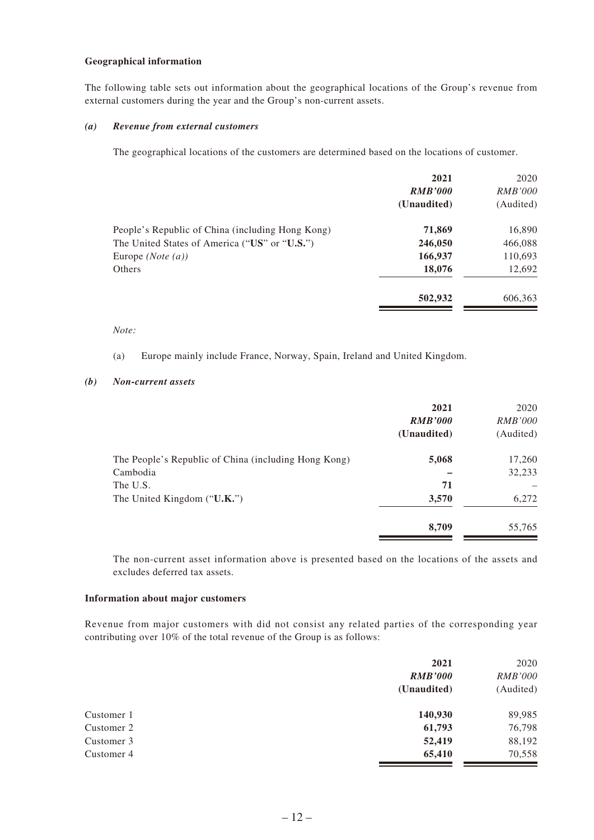#### **Geographical information**

The following table sets out information about the geographical locations of the Group's revenue from external customers during the year and the Group's non-current assets.

#### *(a) Revenue from external customers*

The geographical locations of the customers are determined based on the locations of customer.

|                                                  | 2021           | 2020           |
|--------------------------------------------------|----------------|----------------|
|                                                  | <b>RMB'000</b> | <i>RMB'000</i> |
|                                                  | (Unaudited)    | (Audited)      |
| People's Republic of China (including Hong Kong) | 71,869         | 16,890         |
| The United States of America ("US" or "U.S.")    | 246,050        | 466,088        |
| Europe $(Note(a))$                               | 166,937        | 110,693        |
| Others                                           | 18,076         | 12,692         |
|                                                  | 502,932        | 606,363        |

#### *Note:*

(a) Europe mainly include France, Norway, Spain, Ireland and United Kingdom.

#### *(b) Non-current assets*

|                                                      | 2021<br><b>RMB'000</b><br>(Unaudited) | 2020<br><i>RMB'000</i><br>(Audited) |
|------------------------------------------------------|---------------------------------------|-------------------------------------|
| The People's Republic of China (including Hong Kong) | 5,068                                 | 17,260                              |
| Cambodia<br>The U.S.                                 | 71                                    | 32,233                              |
| The United Kingdom $("U.K.")$                        | 3,570                                 | 6,272                               |
|                                                      | 8,709                                 | 55,765                              |

The non-current asset information above is presented based on the locations of the assets and excludes deferred tax assets.

#### **Information about major customers**

Revenue from major customers with did not consist any related parties of the corresponding year contributing over 10% of the total revenue of the Group is as follows:

|            | 2021           | 2020           |
|------------|----------------|----------------|
|            | <b>RMB'000</b> | <b>RMB'000</b> |
|            | (Unaudited)    | (Audited)      |
| Customer 1 | 140,930        | 89,985         |
| Customer 2 | 61,793         | 76,798         |
| Customer 3 | 52,419         | 88,192         |
| Customer 4 | 65,410         | 70,558         |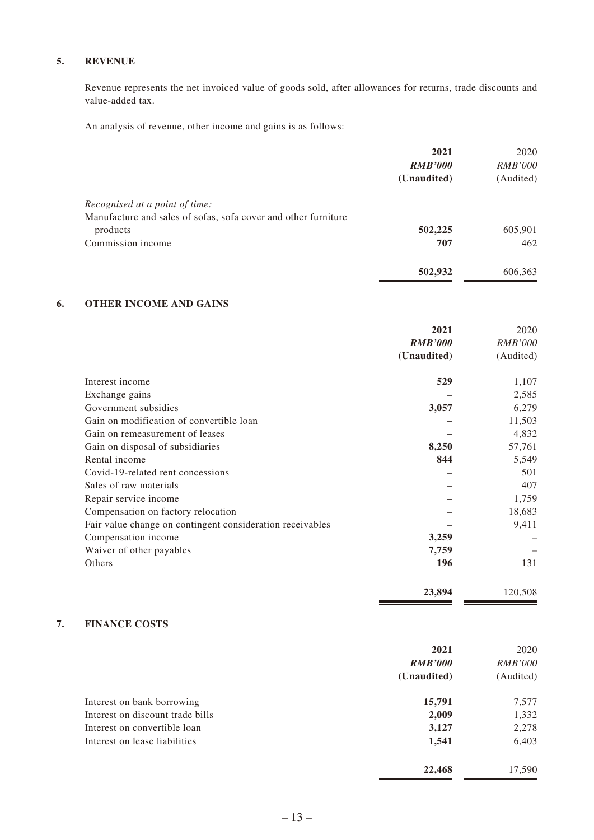#### **5. REVENUE**

Revenue represents the net invoiced value of goods sold, after allowances for returns, trade discounts and value-added tax.

An analysis of revenue, other income and gains is as follows:

|                                                                | 2021           | 2020           |
|----------------------------------------------------------------|----------------|----------------|
|                                                                | <b>RMB'000</b> | <i>RMB'000</i> |
|                                                                | (Unaudited)    | (Audited)      |
| Recognised at a point of time:                                 |                |                |
| Manufacture and sales of sofas, sofa cover and other furniture |                |                |
| products                                                       | 502,225        | 605,901        |
| Commission income                                              | 707            | 462            |
|                                                                | 502,932        | 606,363        |
|                                                                |                |                |

#### **6. OTHER INCOME AND GAINS**

|                                                           | 2021           | 2020           |
|-----------------------------------------------------------|----------------|----------------|
|                                                           | <b>RMB'000</b> | <i>RMB'000</i> |
|                                                           | (Unaudited)    | (Audited)      |
| Interest income                                           | 529            | 1,107          |
| Exchange gains                                            |                | 2,585          |
| Government subsidies                                      | 3,057          | 6,279          |
| Gain on modification of convertible loan                  |                | 11,503         |
| Gain on remeasurement of leases                           |                | 4,832          |
| Gain on disposal of subsidiaries                          | 8,250          | 57,761         |
| Rental income                                             | 844            | 5,549          |
| Covid-19-related rent concessions                         |                | 501            |
| Sales of raw materials                                    |                | 407            |
| Repair service income                                     |                | 1,759          |
| Compensation on factory relocation                        |                | 18,683         |
| Fair value change on contingent consideration receivables |                | 9,411          |
| Compensation income                                       | 3,259          |                |
| Waiver of other payables                                  | 7,759          |                |
| Others                                                    | 196            | 131            |
|                                                           | 23,894         | 120,508        |

#### **7. FINANCE COSTS**

|                                  | 2021           | 2020           |
|----------------------------------|----------------|----------------|
|                                  | <b>RMB'000</b> | <i>RMB'000</i> |
|                                  | (Unaudited)    | (Audited)      |
| Interest on bank borrowing       | 15,791         | 7,577          |
| Interest on discount trade bills | 2,009          | 1,332          |
| Interest on convertible loan     | 3,127          | 2,278          |
| Interest on lease liabilities    | 1,541          | 6,403          |
|                                  | 22,468         | 17,590         |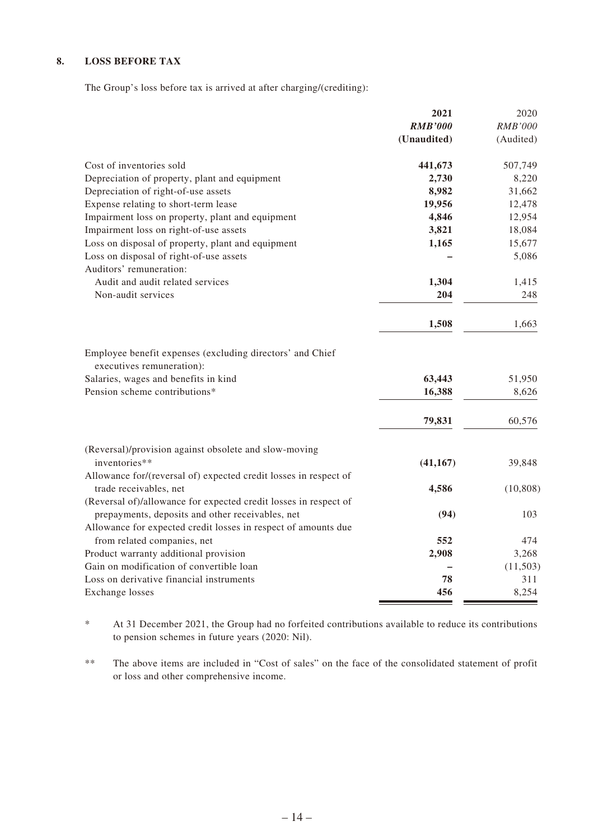#### **8. LOSS BEFORE TAX**

The Group's loss before tax is arrived at after charging/(crediting):

|                                                                                            | 2021           | 2020           |
|--------------------------------------------------------------------------------------------|----------------|----------------|
|                                                                                            | <b>RMB'000</b> | <b>RMB'000</b> |
|                                                                                            | (Unaudited)    | (Audited)      |
| Cost of inventories sold                                                                   | 441,673        | 507,749        |
| Depreciation of property, plant and equipment                                              | 2,730          | 8,220          |
| Depreciation of right-of-use assets                                                        | 8,982          | 31,662         |
| Expense relating to short-term lease                                                       | 19,956         | 12,478         |
| Impairment loss on property, plant and equipment                                           | 4,846          | 12,954         |
| Impairment loss on right-of-use assets                                                     | 3,821          | 18,084         |
| Loss on disposal of property, plant and equipment                                          | 1,165          | 15,677         |
| Loss on disposal of right-of-use assets<br>Auditors' remuneration:                         |                | 5,086          |
| Audit and audit related services                                                           | 1,304          | 1,415          |
| Non-audit services                                                                         | 204            | 248            |
|                                                                                            | 1,508          | 1,663          |
| Employee benefit expenses (excluding directors' and Chief<br>executives remuneration):     |                |                |
| Salaries, wages and benefits in kind                                                       | 63,443         | 51,950         |
| Pension scheme contributions*                                                              | 16,388         | 8,626          |
|                                                                                            | 79,831         | 60,576         |
| (Reversal)/provision against obsolete and slow-moving                                      |                |                |
| inventories**                                                                              | (41, 167)      | 39,848         |
| Allowance for/(reversal of) expected credit losses in respect of<br>trade receivables, net | 4,586          | (10, 808)      |
| (Reversal of)/allowance for expected credit losses in respect of                           |                |                |
| prepayments, deposits and other receivables, net                                           | (94)           | 103            |
| Allowance for expected credit losses in respect of amounts due                             |                |                |
| from related companies, net                                                                | 552            | 474            |
| Product warranty additional provision                                                      | 2,908          | 3,268          |
| Gain on modification of convertible loan                                                   |                | (11,503)       |
| Loss on derivative financial instruments                                                   | 78             | 311            |
| <b>Exchange</b> losses                                                                     | 456            | 8,254          |

\* At 31 December 2021, the Group had no forfeited contributions available to reduce its contributions to pension schemes in future years (2020: Nil).

\*\* The above items are included in "Cost of sales" on the face of the consolidated statement of profit or loss and other comprehensive income.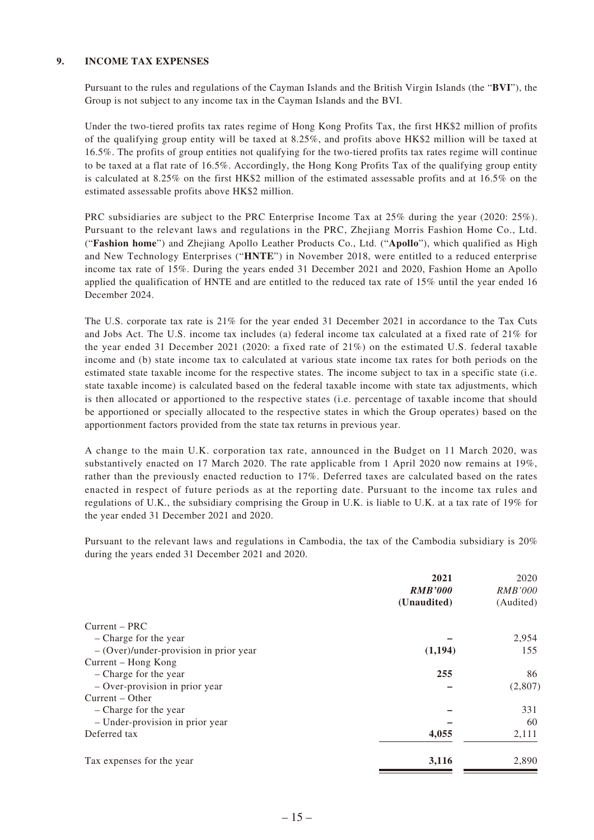#### **9. INCOME TAX EXPENSES**

Pursuant to the rules and regulations of the Cayman Islands and the British Virgin Islands (the "**BVI**"), the Group is not subject to any income tax in the Cayman Islands and the BVI.

Under the two-tiered profits tax rates regime of Hong Kong Profits Tax, the first HK\$2 million of profits of the qualifying group entity will be taxed at 8.25%, and profits above HK\$2 million will be taxed at 16.5%. The profits of group entities not qualifying for the two-tiered profits tax rates regime will continue to be taxed at a flat rate of 16.5%. Accordingly, the Hong Kong Profits Tax of the qualifying group entity is calculated at 8.25% on the first HK\$2 million of the estimated assessable profits and at 16.5% on the estimated assessable profits above HK\$2 million.

PRC subsidiaries are subject to the PRC Enterprise Income Tax at 25% during the year (2020: 25%). Pursuant to the relevant laws and regulations in the PRC, Zhejiang Morris Fashion Home Co., Ltd. ("**Fashion home**") and Zhejiang Apollo Leather Products Co., Ltd. ("**Apollo**"), which qualified as High and New Technology Enterprises ("**HNTE**") in November 2018, were entitled to a reduced enterprise income tax rate of 15%. During the years ended 31 December 2021 and 2020, Fashion Home an Apollo applied the qualification of HNTE and are entitled to the reduced tax rate of 15% until the year ended 16 December 2024.

The U.S. corporate tax rate is 21% for the year ended 31 December 2021 in accordance to the Tax Cuts and Jobs Act. The U.S. income tax includes (a) federal income tax calculated at a fixed rate of 21% for the year ended 31 December 2021 (2020: a fixed rate of 21%) on the estimated U.S. federal taxable income and (b) state income tax to calculated at various state income tax rates for both periods on the estimated state taxable income for the respective states. The income subject to tax in a specific state (i.e. state taxable income) is calculated based on the federal taxable income with state tax adjustments, which is then allocated or apportioned to the respective states (i.e. percentage of taxable income that should be apportioned or specially allocated to the respective states in which the Group operates) based on the apportionment factors provided from the state tax returns in previous year.

A change to the main U.K. corporation tax rate, announced in the Budget on 11 March 2020, was substantively enacted on 17 March 2020. The rate applicable from 1 April 2020 now remains at 19%, rather than the previously enacted reduction to 17%. Deferred taxes are calculated based on the rates enacted in respect of future periods as at the reporting date. Pursuant to the income tax rules and regulations of U.K., the subsidiary comprising the Group in U.K. is liable to U.K. at a tax rate of 19% for the year ended 31 December 2021 and 2020.

Pursuant to the relevant laws and regulations in Cambodia, the tax of the Cambodia subsidiary is 20% during the years ended 31 December 2021 and 2020.

|                                          | 2021           | 2020           |
|------------------------------------------|----------------|----------------|
|                                          | <b>RMB'000</b> | <i>RMB'000</i> |
|                                          | (Unaudited)    | (Audited)      |
| Current - PRC                            |                |                |
| - Charge for the year                    |                | 2,954          |
| $-$ (Over)/under-provision in prior year | (1, 194)       | 155            |
| Current – Hong Kong                      |                |                |
| - Charge for the year                    | 255            | 86             |
| $-$ Over-provision in prior year         |                | (2,807)        |
| Current – Other                          |                |                |
| - Charge for the year                    |                | 331            |
| - Under-provision in prior year          |                | 60             |
| Deferred tax                             | 4,055          | 2,111          |
| Tax expenses for the year                | 3,116          | 2,890          |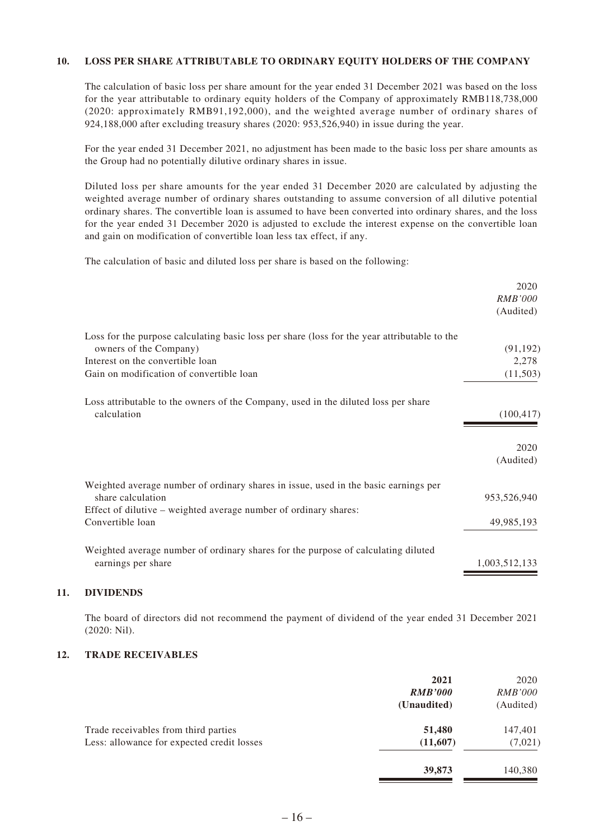#### **10. LOSS PER SHARE ATTRIBUTABLE TO ORDINARY EQUITY HOLDERS OF THE COMPANY**

The calculation of basic loss per share amount for the year ended 31 December 2021 was based on the loss for the year attributable to ordinary equity holders of the Company of approximately RMB118,738,000 (2020: approximately RMB91,192,000), and the weighted average number of ordinary shares of 924,188,000 after excluding treasury shares (2020: 953,526,940) in issue during the year.

For the year ended 31 December 2021, no adjustment has been made to the basic loss per share amounts as the Group had no potentially dilutive ordinary shares in issue.

Diluted loss per share amounts for the year ended 31 December 2020 are calculated by adjusting the weighted average number of ordinary shares outstanding to assume conversion of all dilutive potential ordinary shares. The convertible loan is assumed to have been converted into ordinary shares, and the loss for the year ended 31 December 2020 is adjusted to exclude the interest expense on the convertible loan and gain on modification of convertible loan less tax effect, if any.

The calculation of basic and diluted loss per share is based on the following:

|                                                                                              | 2020           |
|----------------------------------------------------------------------------------------------|----------------|
|                                                                                              | <b>RMB'000</b> |
|                                                                                              | (Audited)      |
| Loss for the purpose calculating basic loss per share (loss for the year attributable to the |                |
| owners of the Company)                                                                       | (91, 192)      |
| Interest on the convertible loan                                                             | 2,278          |
| Gain on modification of convertible loan                                                     | (11,503)       |
| Loss attributable to the owners of the Company, used in the diluted loss per share           |                |
| calculation                                                                                  | (100, 417)     |
|                                                                                              | 2020           |
|                                                                                              | (Audited)      |
| Weighted average number of ordinary shares in issue, used in the basic earnings per          |                |
| share calculation                                                                            | 953,526,940    |
| Effect of dilutive – weighted average number of ordinary shares:                             |                |
| Convertible loan                                                                             | 49,985,193     |
| Weighted average number of ordinary shares for the purpose of calculating diluted            |                |
| earnings per share                                                                           | 1,003,512,133  |
|                                                                                              |                |

#### **11. DIVIDENDS**

The board of directors did not recommend the payment of dividend of the year ended 31 December 2021 (2020: Nil).

#### **12. TRADE RECEIVABLES**

|                                            | 2021           | 2020           |
|--------------------------------------------|----------------|----------------|
|                                            | <b>RMB'000</b> | <i>RMB'000</i> |
|                                            | (Unaudited)    | (Audited)      |
| Trade receivables from third parties       | 51,480         | 147,401        |
| Less: allowance for expected credit losses | (11,607)       | (7,021)        |
|                                            | 39,873         | 140,380        |
|                                            |                |                |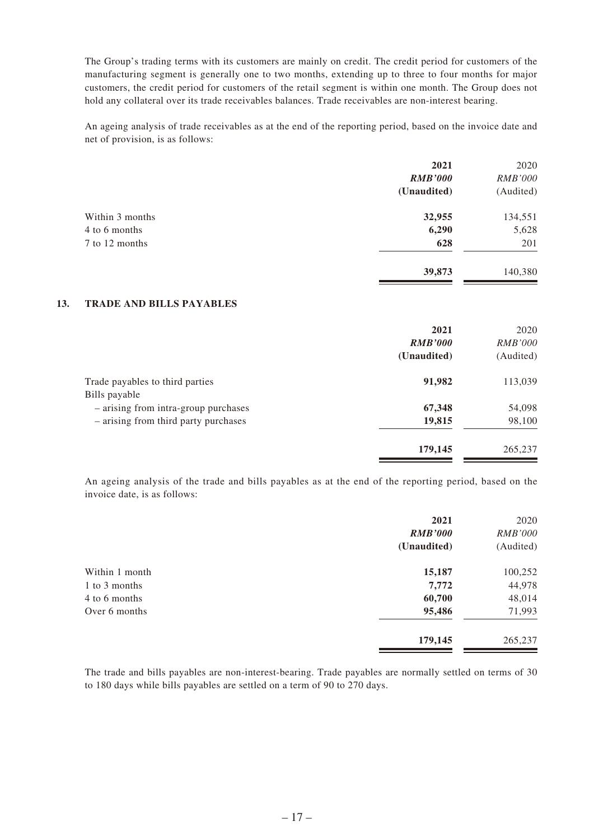The Group's trading terms with its customers are mainly on credit. The credit period for customers of the manufacturing segment is generally one to two months, extending up to three to four months for major customers, the credit period for customers of the retail segment is within one month. The Group does not hold any collateral over its trade receivables balances. Trade receivables are non-interest bearing.

An ageing analysis of trade receivables as at the end of the reporting period, based on the invoice date and net of provision, is as follows:

|                 | 2021           | 2020           |
|-----------------|----------------|----------------|
|                 | <b>RMB'000</b> | <b>RMB'000</b> |
|                 | (Unaudited)    | (Audited)      |
| Within 3 months | 32,955         | 134,551        |
| 4 to 6 months   | 6,290          | 5,628          |
| 7 to 12 months  | 628            | 201            |
|                 | 39,873         | 140,380        |
|                 |                |                |

#### **13. TRADE AND BILLS PAYABLES**

|                                                  | 2021<br><b>RMB'000</b><br>(Unaudited) | 2020<br><i>RMB'000</i><br>(Audited) |
|--------------------------------------------------|---------------------------------------|-------------------------------------|
| Trade payables to third parties<br>Bills payable | 91,982                                | 113,039                             |
| - arising from intra-group purchases             | 67,348                                | 54,098                              |
| - arising from third party purchases             | 19,815                                | 98,100                              |
|                                                  | 179,145                               | 265,237                             |

An ageing analysis of the trade and bills payables as at the end of the reporting period, based on the invoice date, is as follows:

|                | 2021           | 2020           |
|----------------|----------------|----------------|
|                | <b>RMB'000</b> | <i>RMB'000</i> |
|                | (Unaudited)    | (Audited)      |
| Within 1 month | 15,187         | 100,252        |
| 1 to 3 months  | 7,772          | 44,978         |
| 4 to 6 months  | 60,700         | 48,014         |
| Over 6 months  | 95,486         | 71,993         |
|                | 179,145        | 265,237        |

The trade and bills payables are non-interest-bearing. Trade payables are normally settled on terms of 30 to 180 days while bills payables are settled on a term of 90 to 270 days.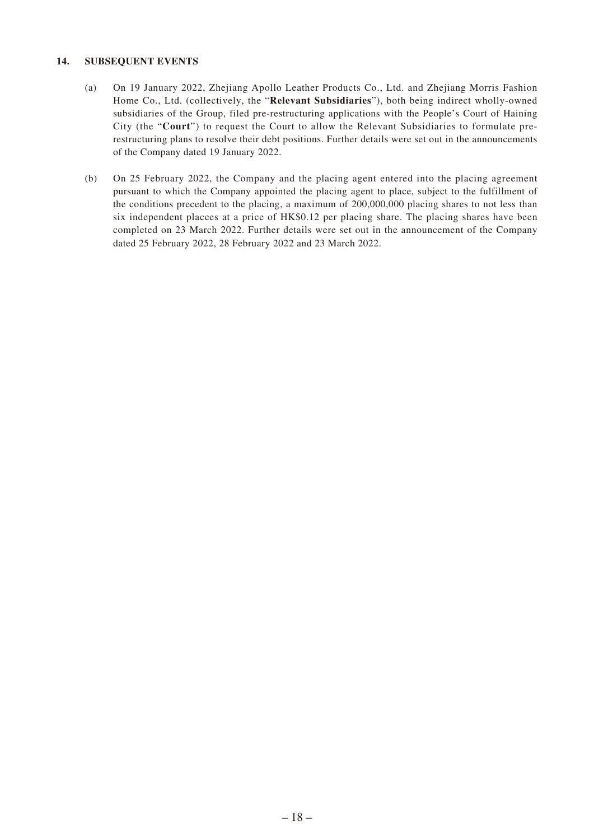#### **14. SUBSEQUENT EVENTS**

- (a) On 19 January 2022, Zhejiang Apollo Leather Products Co., Ltd. and Zhejiang Morris Fashion Home Co., Ltd. (collectively, the "**Relevant Subsidiaries**"), both being indirect wholly-owned subsidiaries of the Group, filed pre-restructuring applications with the People's Court of Haining City (the "**Court**") to request the Court to allow the Relevant Subsidiaries to formulate prerestructuring plans to resolve their debt positions. Further details were set out in the announcements of the Company dated 19 January 2022.
- (b) On 25 February 2022, the Company and the placing agent entered into the placing agreement pursuant to which the Company appointed the placing agent to place, subject to the fulfillment of the conditions precedent to the placing, a maximum of 200,000,000 placing shares to not less than six independent placees at a price of HK\$0.12 per placing share. The placing shares have been completed on 23 March 2022. Further details were set out in the announcement of the Company dated 25 February 2022, 28 February 2022 and 23 March 2022.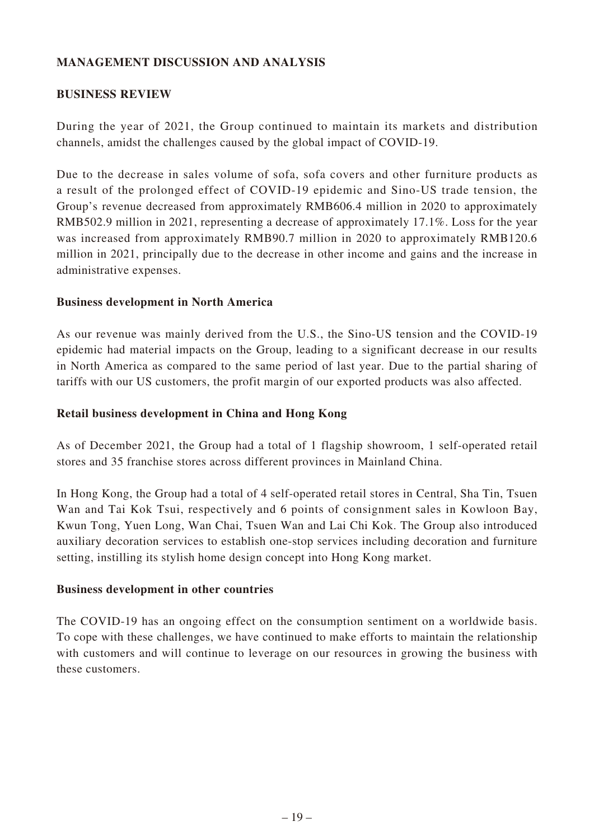## **MANAGEMENT DISCUSSION AND ANALYSIS**

#### **BUSINESS REVIEW**

During the year of 2021, the Group continued to maintain its markets and distribution channels, amidst the challenges caused by the global impact of COVID-19.

Due to the decrease in sales volume of sofa, sofa covers and other furniture products as a result of the prolonged effect of COVID-19 epidemic and Sino-US trade tension, the Group's revenue decreased from approximately RMB606.4 million in 2020 to approximately RMB502.9 million in 2021, representing a decrease of approximately 17.1%. Loss for the year was increased from approximately RMB90.7 million in 2020 to approximately RMB120.6 million in 2021, principally due to the decrease in other income and gains and the increase in administrative expenses.

#### **Business development in North America**

As our revenue was mainly derived from the U.S., the Sino-US tension and the COVID-19 epidemic had material impacts on the Group, leading to a significant decrease in our results in North America as compared to the same period of last year. Due to the partial sharing of tariffs with our US customers, the profit margin of our exported products was also affected.

#### **Retail business development in China and Hong Kong**

As of December 2021, the Group had a total of 1 flagship showroom, 1 self-operated retail stores and 35 franchise stores across different provinces in Mainland China.

In Hong Kong, the Group had a total of 4 self-operated retail stores in Central, Sha Tin, Tsuen Wan and Tai Kok Tsui, respectively and 6 points of consignment sales in Kowloon Bay, Kwun Tong, Yuen Long, Wan Chai, Tsuen Wan and Lai Chi Kok. The Group also introduced auxiliary decoration services to establish one-stop services including decoration and furniture setting, instilling its stylish home design concept into Hong Kong market.

#### **Business development in other countries**

The COVID-19 has an ongoing effect on the consumption sentiment on a worldwide basis. To cope with these challenges, we have continued to make efforts to maintain the relationship with customers and will continue to leverage on our resources in growing the business with these customers.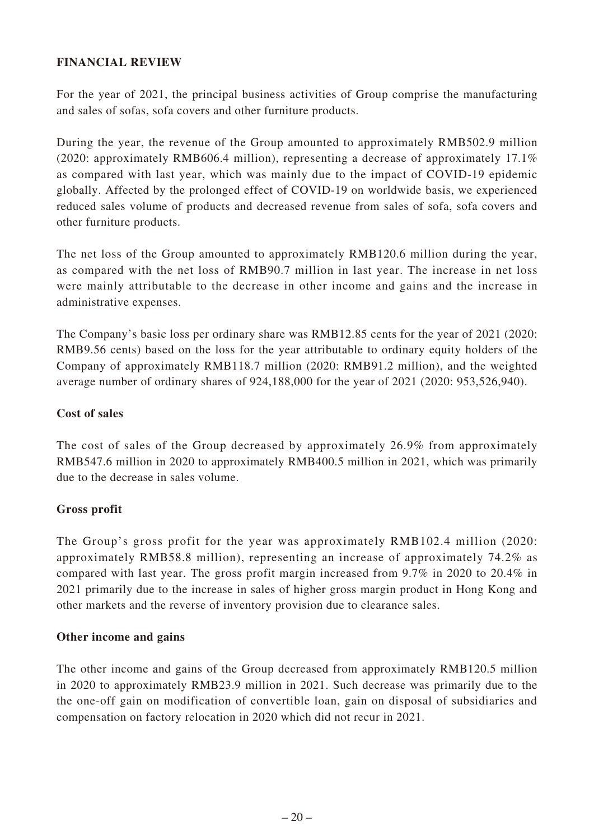## **FINANCIAL REVIEW**

For the year of 2021, the principal business activities of Group comprise the manufacturing and sales of sofas, sofa covers and other furniture products.

During the year, the revenue of the Group amounted to approximately RMB502.9 million (2020: approximately RMB606.4 million), representing a decrease of approximately 17.1% as compared with last year, which was mainly due to the impact of COVID-19 epidemic globally. Affected by the prolonged effect of COVID-19 on worldwide basis, we experienced reduced sales volume of products and decreased revenue from sales of sofa, sofa covers and other furniture products.

The net loss of the Group amounted to approximately RMB120.6 million during the year, as compared with the net loss of RMB90.7 million in last year. The increase in net loss were mainly attributable to the decrease in other income and gains and the increase in administrative expenses.

The Company's basic loss per ordinary share was RMB12.85 cents for the year of 2021 (2020: RMB9.56 cents) based on the loss for the year attributable to ordinary equity holders of the Company of approximately RMB118.7 million (2020: RMB91.2 million), and the weighted average number of ordinary shares of 924,188,000 for the year of 2021 (2020: 953,526,940).

## **Cost of sales**

The cost of sales of the Group decreased by approximately 26.9% from approximately RMB547.6 million in 2020 to approximately RMB400.5 million in 2021, which was primarily due to the decrease in sales volume.

## **Gross profit**

The Group's gross profit for the year was approximately RMB102.4 million (2020: approximately RMB58.8 million), representing an increase of approximately 74.2% as compared with last year. The gross profit margin increased from 9.7% in 2020 to 20.4% in 2021 primarily due to the increase in sales of higher gross margin product in Hong Kong and other markets and the reverse of inventory provision due to clearance sales.

## **Other income and gains**

The other income and gains of the Group decreased from approximately RMB120.5 million in 2020 to approximately RMB23.9 million in 2021. Such decrease was primarily due to the the one-off gain on modification of convertible loan, gain on disposal of subsidiaries and compensation on factory relocation in 2020 which did not recur in 2021.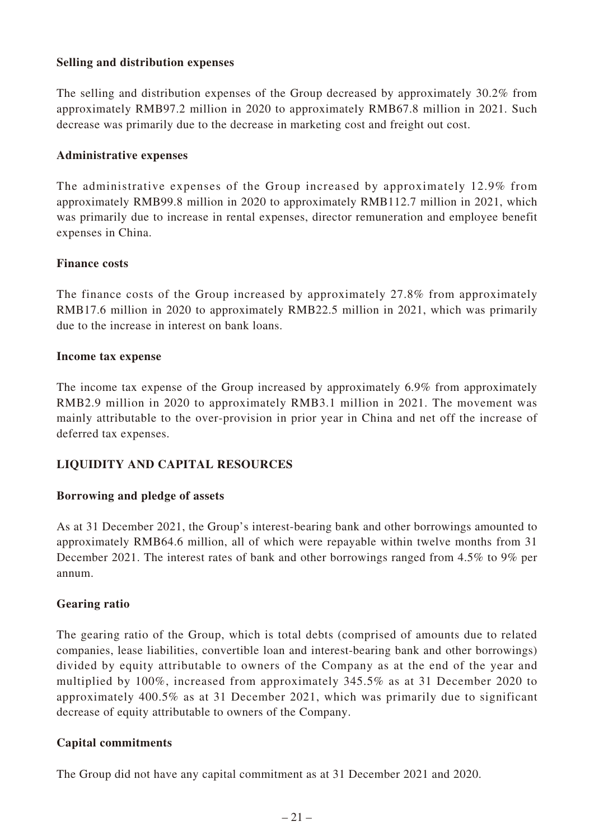## **Selling and distribution expenses**

The selling and distribution expenses of the Group decreased by approximately 30.2% from approximately RMB97.2 million in 2020 to approximately RMB67.8 million in 2021. Such decrease was primarily due to the decrease in marketing cost and freight out cost.

## **Administrative expenses**

The administrative expenses of the Group increased by approximately 12.9% from approximately RMB99.8 million in 2020 to approximately RMB112.7 million in 2021, which was primarily due to increase in rental expenses, director remuneration and employee benefit expenses in China.

## **Finance costs**

The finance costs of the Group increased by approximately 27.8% from approximately RMB17.6 million in 2020 to approximately RMB22.5 million in 2021, which was primarily due to the increase in interest on bank loans.

## **Income tax expense**

The income tax expense of the Group increased by approximately 6.9% from approximately RMB2.9 million in 2020 to approximately RMB3.1 million in 2021. The movement was mainly attributable to the over-provision in prior year in China and net off the increase of deferred tax expenses.

## **LIQUIDITY AND CAPITAL RESOURCES**

## **Borrowing and pledge of assets**

As at 31 December 2021, the Group's interest-bearing bank and other borrowings amounted to approximately RMB64.6 million, all of which were repayable within twelve months from 31 December 2021. The interest rates of bank and other borrowings ranged from 4.5% to 9% per annum.

## **Gearing ratio**

The gearing ratio of the Group, which is total debts (comprised of amounts due to related companies, lease liabilities, convertible loan and interest-bearing bank and other borrowings) divided by equity attributable to owners of the Company as at the end of the year and multiplied by 100%, increased from approximately 345.5% as at 31 December 2020 to approximately 400.5% as at 31 December 2021, which was primarily due to significant decrease of equity attributable to owners of the Company.

## **Capital commitments**

The Group did not have any capital commitment as at 31 December 2021 and 2020.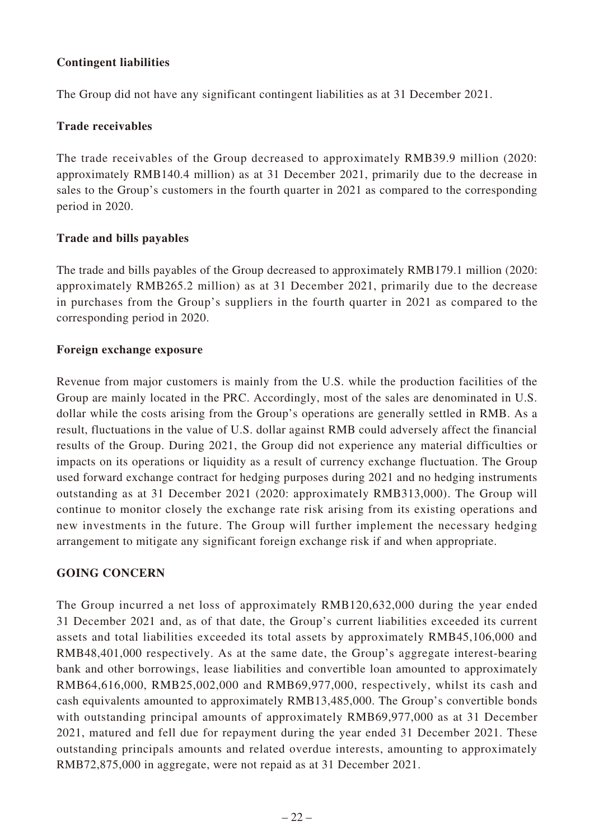## **Contingent liabilities**

The Group did not have any significant contingent liabilities as at 31 December 2021.

## **Trade receivables**

The trade receivables of the Group decreased to approximately RMB39.9 million (2020: approximately RMB140.4 million) as at 31 December 2021, primarily due to the decrease in sales to the Group's customers in the fourth quarter in 2021 as compared to the corresponding period in 2020.

## **Trade and bills payables**

The trade and bills payables of the Group decreased to approximately RMB179.1 million (2020: approximately RMB265.2 million) as at 31 December 2021, primarily due to the decrease in purchases from the Group's suppliers in the fourth quarter in 2021 as compared to the corresponding period in 2020.

## **Foreign exchange exposure**

Revenue from major customers is mainly from the U.S. while the production facilities of the Group are mainly located in the PRC. Accordingly, most of the sales are denominated in U.S. dollar while the costs arising from the Group's operations are generally settled in RMB. As a result, fluctuations in the value of U.S. dollar against RMB could adversely affect the financial results of the Group. During 2021, the Group did not experience any material difficulties or impacts on its operations or liquidity as a result of currency exchange fluctuation. The Group used forward exchange contract for hedging purposes during 2021 and no hedging instruments outstanding as at 31 December 2021 (2020: approximately RMB313,000). The Group will continue to monitor closely the exchange rate risk arising from its existing operations and new investments in the future. The Group will further implement the necessary hedging arrangement to mitigate any significant foreign exchange risk if and when appropriate.

## **GOING CONCERN**

The Group incurred a net loss of approximately RMB120,632,000 during the year ended 31 December 2021 and, as of that date, the Group's current liabilities exceeded its current assets and total liabilities exceeded its total assets by approximately RMB45,106,000 and RMB48,401,000 respectively. As at the same date, the Group's aggregate interest-bearing bank and other borrowings, lease liabilities and convertible loan amounted to approximately RMB64,616,000, RMB25,002,000 and RMB69,977,000, respectively, whilst its cash and cash equivalents amounted to approximately RMB13,485,000. The Group's convertible bonds with outstanding principal amounts of approximately RMB69,977,000 as at 31 December 2021, matured and fell due for repayment during the year ended 31 December 2021. These outstanding principals amounts and related overdue interests, amounting to approximately RMB72,875,000 in aggregate, were not repaid as at 31 December 2021.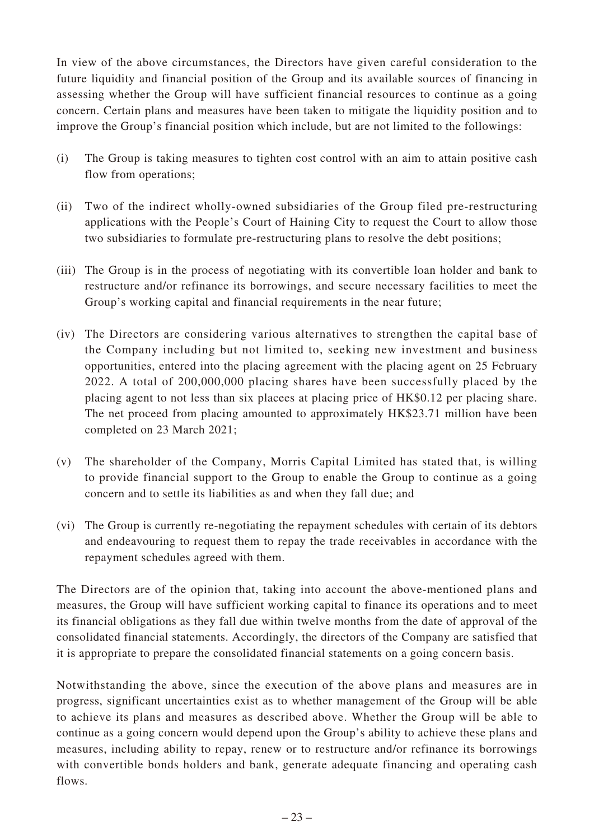In view of the above circumstances, the Directors have given careful consideration to the future liquidity and financial position of the Group and its available sources of financing in assessing whether the Group will have sufficient financial resources to continue as a going concern. Certain plans and measures have been taken to mitigate the liquidity position and to improve the Group's financial position which include, but are not limited to the followings:

- (i) The Group is taking measures to tighten cost control with an aim to attain positive cash flow from operations;
- (ii) Two of the indirect wholly-owned subsidiaries of the Group filed pre-restructuring applications with the People's Court of Haining City to request the Court to allow those two subsidiaries to formulate pre-restructuring plans to resolve the debt positions;
- (iii) The Group is in the process of negotiating with its convertible loan holder and bank to restructure and/or refinance its borrowings, and secure necessary facilities to meet the Group's working capital and financial requirements in the near future;
- (iv) The Directors are considering various alternatives to strengthen the capital base of the Company including but not limited to, seeking new investment and business opportunities, entered into the placing agreement with the placing agent on 25 February 2022. A total of 200,000,000 placing shares have been successfully placed by the placing agent to not less than six placees at placing price of HK\$0.12 per placing share. The net proceed from placing amounted to approximately HK\$23.71 million have been completed on 23 March 2021;
- (v) The shareholder of the Company, Morris Capital Limited has stated that, is willing to provide financial support to the Group to enable the Group to continue as a going concern and to settle its liabilities as and when they fall due; and
- (vi) The Group is currently re-negotiating the repayment schedules with certain of its debtors and endeavouring to request them to repay the trade receivables in accordance with the repayment schedules agreed with them.

The Directors are of the opinion that, taking into account the above-mentioned plans and measures, the Group will have sufficient working capital to finance its operations and to meet its financial obligations as they fall due within twelve months from the date of approval of the consolidated financial statements. Accordingly, the directors of the Company are satisfied that it is appropriate to prepare the consolidated financial statements on a going concern basis.

Notwithstanding the above, since the execution of the above plans and measures are in progress, significant uncertainties exist as to whether management of the Group will be able to achieve its plans and measures as described above. Whether the Group will be able to continue as a going concern would depend upon the Group's ability to achieve these plans and measures, including ability to repay, renew or to restructure and/or refinance its borrowings with convertible bonds holders and bank, generate adequate financing and operating cash flows.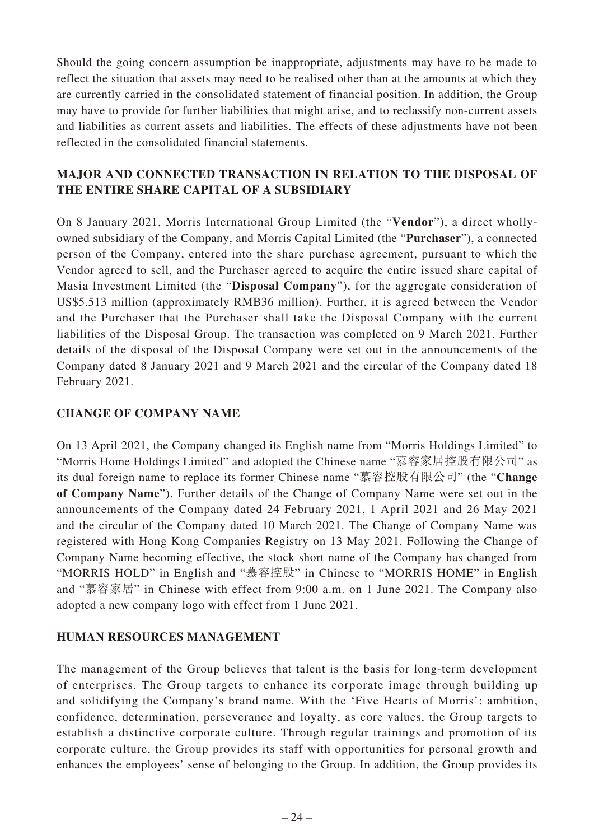Should the going concern assumption be inappropriate, adjustments may have to be made to reflect the situation that assets may need to be realised other than at the amounts at which they are currently carried in the consolidated statement of financial position. In addition, the Group may have to provide for further liabilities that might arise, and to reclassify non-current assets and liabilities as current assets and liabilities. The effects of these adjustments have not been reflected in the consolidated financial statements.

# **MAJOR AND CONNECTED TRANSACTION IN RELATION TO THE DISPOSAL OF THE ENTIRE SHARE CAPITAL OF A SUBSIDIARY**

On 8 January 2021, Morris International Group Limited (the "**Vendor**"), a direct whollyowned subsidiary of the Company, and Morris Capital Limited (the "**Purchaser**"), a connected person of the Company, entered into the share purchase agreement, pursuant to which the Vendor agreed to sell, and the Purchaser agreed to acquire the entire issued share capital of Masia Investment Limited (the "**Disposal Company**"), for the aggregate consideration of US\$5.513 million (approximately RMB36 million). Further, it is agreed between the Vendor and the Purchaser that the Purchaser shall take the Disposal Company with the current liabilities of the Disposal Group. The transaction was completed on 9 March 2021. Further details of the disposal of the Disposal Company were set out in the announcements of the Company dated 8 January 2021 and 9 March 2021 and the circular of the Company dated 18 February 2021.

## **CHANGE OF COMPANY NAME**

On 13 April 2021, the Company changed its English name from "Morris Holdings Limited" to "Morris Home Holdings Limited" and adopted the Chinese name "慕容家居控股有限公司" as its dual foreign name to replace its former Chinese name "慕容控股有限公司" (the "**Change of Company Name**"). Further details of the Change of Company Name were set out in the announcements of the Company dated 24 February 2021, 1 April 2021 and 26 May 2021 and the circular of the Company dated 10 March 2021. The Change of Company Name was registered with Hong Kong Companies Registry on 13 May 2021. Following the Change of Company Name becoming effective, the stock short name of the Company has changed from "MORRIS HOLD" in English and "慕容控股" in Chinese to "MORRIS HOME" in English and "慕容家居" in Chinese with effect from 9:00 a.m. on 1 June 2021. The Company also adopted a new company logo with effect from 1 June 2021.

## **HUMAN RESOURCES MANAGEMENT**

The management of the Group believes that talent is the basis for long-term development of enterprises. The Group targets to enhance its corporate image through building up and solidifying the Company's brand name. With the 'Five Hearts of Morris': ambition, confidence, determination, perseverance and loyalty, as core values, the Group targets to establish a distinctive corporate culture. Through regular trainings and promotion of its corporate culture, the Group provides its staff with opportunities for personal growth and enhances the employees' sense of belonging to the Group. In addition, the Group provides its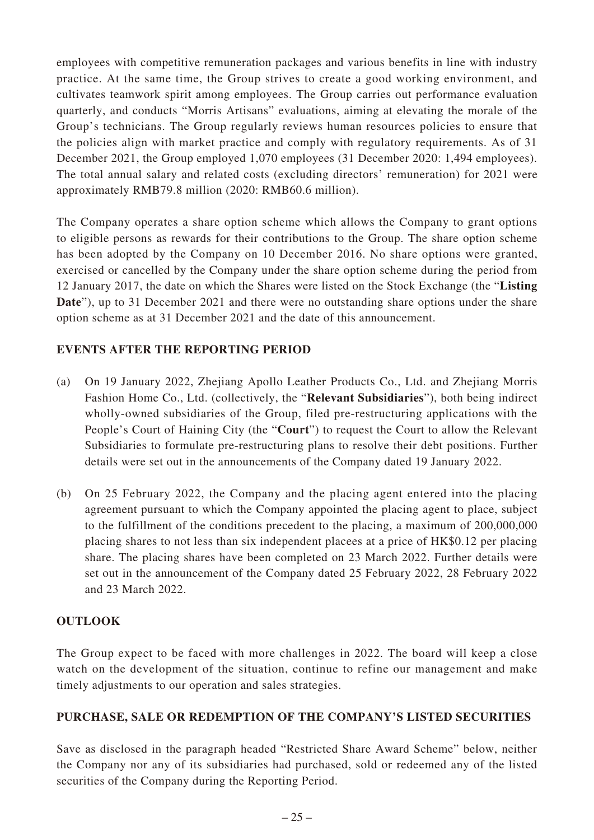employees with competitive remuneration packages and various benefits in line with industry practice. At the same time, the Group strives to create a good working environment, and cultivates teamwork spirit among employees. The Group carries out performance evaluation quarterly, and conducts "Morris Artisans" evaluations, aiming at elevating the morale of the Group's technicians. The Group regularly reviews human resources policies to ensure that the policies align with market practice and comply with regulatory requirements. As of 31 December 2021, the Group employed 1,070 employees (31 December 2020: 1,494 employees). The total annual salary and related costs (excluding directors' remuneration) for 2021 were approximately RMB79.8 million (2020: RMB60.6 million).

The Company operates a share option scheme which allows the Company to grant options to eligible persons as rewards for their contributions to the Group. The share option scheme has been adopted by the Company on 10 December 2016. No share options were granted, exercised or cancelled by the Company under the share option scheme during the period from 12 January 2017, the date on which the Shares were listed on the Stock Exchange (the "**Listing Date**"), up to 31 December 2021 and there were no outstanding share options under the share option scheme as at 31 December 2021 and the date of this announcement.

## **EVENTS AFTER THE REPORTING PERIOD**

- (a) On 19 January 2022, Zhejiang Apollo Leather Products Co., Ltd. and Zhejiang Morris Fashion Home Co., Ltd. (collectively, the "**Relevant Subsidiaries**"), both being indirect wholly-owned subsidiaries of the Group, filed pre-restructuring applications with the People's Court of Haining City (the "**Court**") to request the Court to allow the Relevant Subsidiaries to formulate pre-restructuring plans to resolve their debt positions. Further details were set out in the announcements of the Company dated 19 January 2022.
- (b) On 25 February 2022, the Company and the placing agent entered into the placing agreement pursuant to which the Company appointed the placing agent to place, subject to the fulfillment of the conditions precedent to the placing, a maximum of 200,000,000 placing shares to not less than six independent placees at a price of HK\$0.12 per placing share. The placing shares have been completed on 23 March 2022. Further details were set out in the announcement of the Company dated 25 February 2022, 28 February 2022 and 23 March 2022.

## **OUTLOOK**

The Group expect to be faced with more challenges in 2022. The board will keep a close watch on the development of the situation, continue to refine our management and make timely adjustments to our operation and sales strategies.

## **PURCHASE, SALE OR REDEMPTION OF THE COMPANY'S LISTED SECURITIES**

Save as disclosed in the paragraph headed "Restricted Share Award Scheme" below, neither the Company nor any of its subsidiaries had purchased, sold or redeemed any of the listed securities of the Company during the Reporting Period.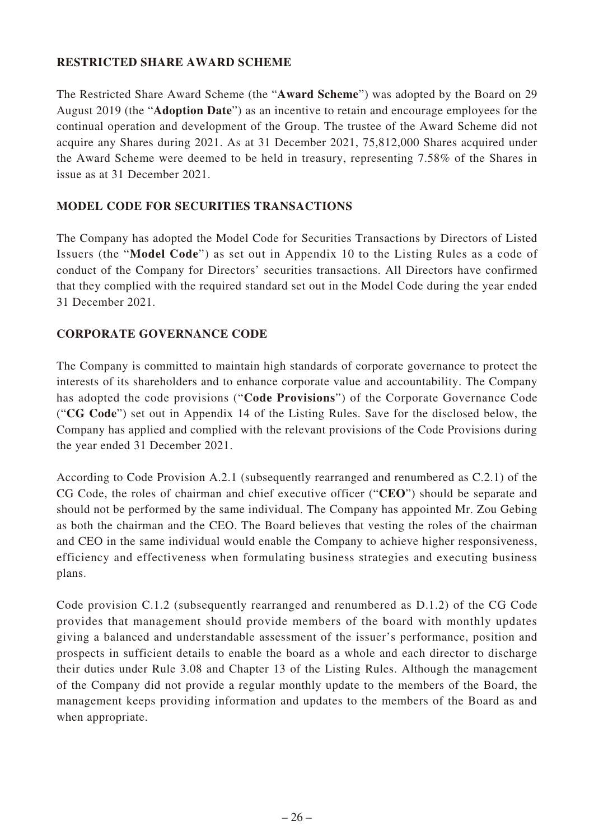## **RESTRICTED SHARE AWARD SCHEME**

The Restricted Share Award Scheme (the "**Award Scheme**") was adopted by the Board on 29 August 2019 (the "**Adoption Date**") as an incentive to retain and encourage employees for the continual operation and development of the Group. The trustee of the Award Scheme did not acquire any Shares during 2021. As at 31 December 2021, 75,812,000 Shares acquired under the Award Scheme were deemed to be held in treasury, representing 7.58% of the Shares in issue as at 31 December 2021.

## **MODEL CODE FOR SECURITIES TRANSACTIONS**

The Company has adopted the Model Code for Securities Transactions by Directors of Listed Issuers (the "**Model Code**") as set out in Appendix 10 to the Listing Rules as a code of conduct of the Company for Directors' securities transactions. All Directors have confirmed that they complied with the required standard set out in the Model Code during the year ended 31 December 2021.

## **CORPORATE GOVERNANCE CODE**

The Company is committed to maintain high standards of corporate governance to protect the interests of its shareholders and to enhance corporate value and accountability. The Company has adopted the code provisions ("**Code Provisions**") of the Corporate Governance Code ("**CG Code**") set out in Appendix 14 of the Listing Rules. Save for the disclosed below, the Company has applied and complied with the relevant provisions of the Code Provisions during the year ended 31 December 2021.

According to Code Provision A.2.1 (subsequently rearranged and renumbered as C.2.1) of the CG Code, the roles of chairman and chief executive officer ("**CEO**") should be separate and should not be performed by the same individual. The Company has appointed Mr. Zou Gebing as both the chairman and the CEO. The Board believes that vesting the roles of the chairman and CEO in the same individual would enable the Company to achieve higher responsiveness, efficiency and effectiveness when formulating business strategies and executing business plans.

Code provision C.1.2 (subsequently rearranged and renumbered as D.1.2) of the CG Code provides that management should provide members of the board with monthly updates giving a balanced and understandable assessment of the issuer's performance, position and prospects in sufficient details to enable the board as a whole and each director to discharge their duties under Rule 3.08 and Chapter 13 of the Listing Rules. Although the management of the Company did not provide a regular monthly update to the members of the Board, the management keeps providing information and updates to the members of the Board as and when appropriate.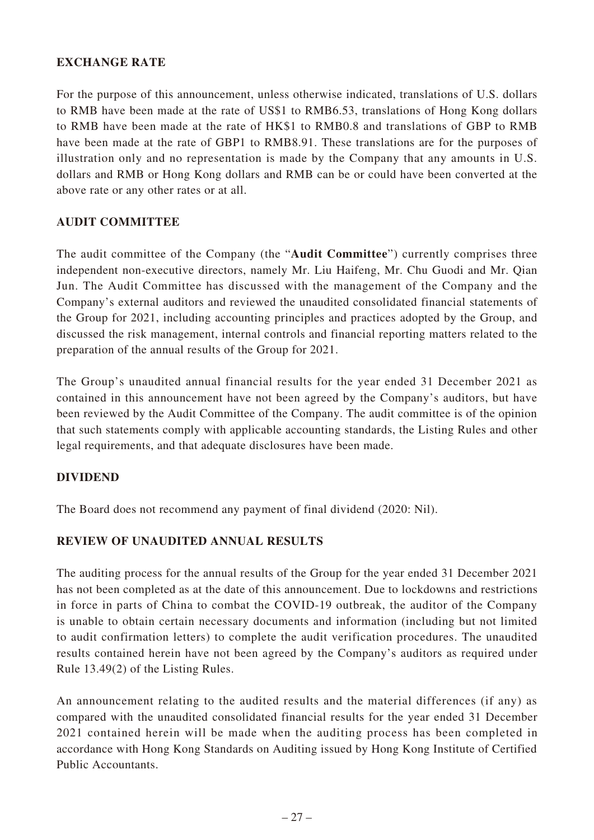## **EXCHANGE RATE**

For the purpose of this announcement, unless otherwise indicated, translations of U.S. dollars to RMB have been made at the rate of US\$1 to RMB6.53, translations of Hong Kong dollars to RMB have been made at the rate of HK\$1 to RMB0.8 and translations of GBP to RMB have been made at the rate of GBP1 to RMB8.91. These translations are for the purposes of illustration only and no representation is made by the Company that any amounts in U.S. dollars and RMB or Hong Kong dollars and RMB can be or could have been converted at the above rate or any other rates or at all.

## **AUDIT COMMITTEE**

The audit committee of the Company (the "**Audit Committee**") currently comprises three independent non-executive directors, namely Mr. Liu Haifeng, Mr. Chu Guodi and Mr. Qian Jun. The Audit Committee has discussed with the management of the Company and the Company's external auditors and reviewed the unaudited consolidated financial statements of the Group for 2021, including accounting principles and practices adopted by the Group, and discussed the risk management, internal controls and financial reporting matters related to the preparation of the annual results of the Group for 2021.

The Group's unaudited annual financial results for the year ended 31 December 2021 as contained in this announcement have not been agreed by the Company's auditors, but have been reviewed by the Audit Committee of the Company. The audit committee is of the opinion that such statements comply with applicable accounting standards, the Listing Rules and other legal requirements, and that adequate disclosures have been made.

## **DIVIDEND**

The Board does not recommend any payment of final dividend (2020: Nil).

## **REVIEW OF UNAUDITED ANNUAL RESULTS**

The auditing process for the annual results of the Group for the year ended 31 December 2021 has not been completed as at the date of this announcement. Due to lockdowns and restrictions in force in parts of China to combat the COVID-19 outbreak, the auditor of the Company is unable to obtain certain necessary documents and information (including but not limited to audit confirmation letters) to complete the audit verification procedures. The unaudited results contained herein have not been agreed by the Company's auditors as required under Rule 13.49(2) of the Listing Rules.

An announcement relating to the audited results and the material differences (if any) as compared with the unaudited consolidated financial results for the year ended 31 December 2021 contained herein will be made when the auditing process has been completed in accordance with Hong Kong Standards on Auditing issued by Hong Kong Institute of Certified Public Accountants.